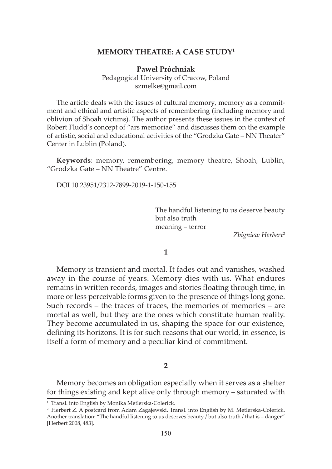# **MEMORY THEATRE: A CASE STUDY1**

**Paweł Próchniak** Pedagogical University of Cracow, Poland szmelke@gmail.com

The article deals with the issues of cultural memory, memory as a commitment and ethical and artistic aspects of remembering (including memory and oblivion of Shoah victims). The author presents these issues in the context of Robert Fludd's concept of "ars memoriae" and discusses them on the example of artistic, social and educational activities of the "Grodzka Gate – NN Theater" Center in Lublin (Poland).

**Keywords**: memory, remembering, memory theatre, Shoah, Lublin, "Grodzka Gate – NN Theatre" Centre.

DOI 10.23951/2312-7899-2019-1-150-155

The handful listening to us deserve beauty but also truth meaning – terror

*Zbigniew Herbert*<sup>2</sup>

## **1**

Memory is transient and mortal. It fades out and vanishes, washed away in the course of years. Memory dies with us. What endures remains in written records, images and stories floating through time, in more or less perceivable forms given to the presence of things long gone. Such records – the traces of traces, the memories of memories – are mortal as well, but they are the ones which constitute human reality. They become accumulated in us, shaping the space for our existence, defining its horizons. It is for such reasons that our world, in essence, is itself a form of memory and a peculiar kind of commitment.

### **2**

Memory becomes an obligation especially when it serves as a shelter for things existing and kept alive only through memory – saturated with

<sup>&</sup>lt;sup>1</sup> Transl. into English by Monika Metlerska-Colerick.

<sup>2</sup> Herbert Z. A postcard from Adam Zagajewski. Transl. into English by M. Metlerska-Colerick. Another translation: "The handful listening to us deserves beauty / but also truth / that is – danger" [Herbert 2008, 483].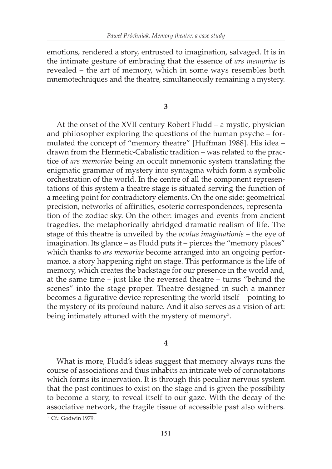emotions, rendered a story, entrusted to imagination, salvaged. It is in the intimate gesture of embracing that the essence of *ars memoriae* is revealed – the art of memory, which in some ways resembles both mnemotechniques and the theatre, simultaneously remaining a mystery.

**3**

At the onset of the XVII century Robert Fludd – a mystic, physician and philosopher exploring the questions of the human psyche – formulated the concept of "memory theatre" [Huffman 1988]. His idea – drawn from the Hermetic-Cabalistic tradition – was related to the practice of *ars memoriae* being an occult mnemonic system translating the enigmatic grammar of mystery into syntagma which form a symbolic orchestration of the world. In the centre of all the component representations of this system a theatre stage is situated serving the function of a meeting point for contradictory elements. On the one side: geometrical precision, networks of affinities, esoteric correspondences, representation of the zodiac sky. On the other: images and events from ancient tragedies, the metaphorically abridged dramatic realism of life. The stage of this theatre is unveiled by the *oculus imaginationis* – the eye of imagination. Its glance – as Fludd puts it – pierces the "memory places" which thanks to *ars memoriae* become arranged into an ongoing performance, a story happening right on stage. This performance is the life of memory, which creates the backstage for our presence in the world and, at the same time – just like the reversed theatre – turns "behind the scenes" into the stage proper. Theatre designed in such a manner becomes a figurative device representing the world itself – pointing to the mystery of its profound nature. And it also serves as a vision of art: being intimately attuned with the mystery of memory $^3$ .

**4**

What is more, Fludd's ideas suggest that memory always runs the course of associations and thus inhabits an intricate web of connotations which forms its innervation. It is through this peculiar nervous system that the past continues to exist on the stage and is given the possibility to become a story, to reveal itself to our gaze. With the decay of the associative network, the fragile tissue of accessible past also withers.

<sup>3</sup> Cf.: Godwin 1979.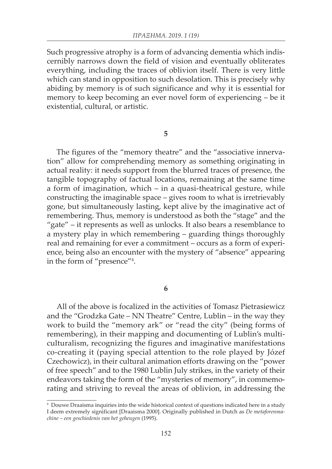Such progressive atrophy is a form of advancing dementia which indiscernibly narrows down the field of vision and eventually obliterates everything, including the traces of oblivion itself. There is very little which can stand in opposition to such desolation. This is precisely why abiding by memory is of such significance and why it is essential for memory to keep becoming an ever novel form of experiencing – be it existential, cultural, or artistic.

#### **5**

The figures of the "memory theatre" and the "associative innervation" allow for comprehending memory as something originating in actual reality: it needs support from the blurred traces of presence, the tangible topography of factual locations, remaining at the same time a form of imagination, which – in a quasi-theatrical gesture, while constructing the imaginable space – gives room to what is irretrievably gone, but simultaneously lasting, kept alive by the imaginative act of remembering. Thus, memory is understood as both the "stage" and the "gate" – it represents as well as unlocks. It also bears a resemblance to a mystery play in which remembering – guarding things thoroughly real and remaining for ever a commitment – occurs as a form of experience, being also an encounter with the mystery of "absence" appearing in the form of "presence"4 .

#### **6**

All of the above is focalized in the activities of Tomasz Pietrasiewicz and the "Grodzka Gate – NN Theatre" Centre, Lublin – in the way they work to build the "memory ark" or "read the city" (being forms of remembering), in their mapping and documenting of Lublin's multiculturalism, recognizing the figures and imaginative manifestations co-creating it (paying special attention to the role played by Józef Czechowicz), in their cultural animation efforts drawing on the "power of free speech" and to the 1980 Lublin July strikes, in the variety of their endeavors taking the form of the "mysteries of memory", in commemorating and striving to reveal the areas of oblivion, in addressing the

<sup>4</sup> Douwe Draaisma inquiries into the wide historical context of questions indicated here in a study I deem extremely significant [Draaisma 2000]. Originally published in Dutch as *De metaforenmachine – een geschiedenis van het geheugen* (1995).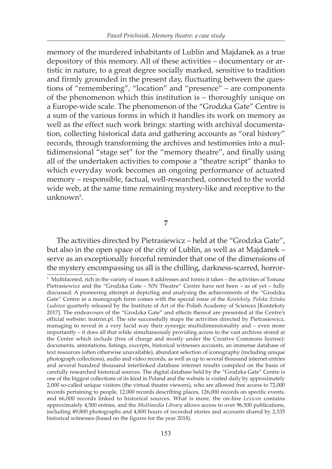memory of the murdered inhabitants of Lublin and Majdanek as a true depository of this memory. All of these activities – documentary or artistic in nature, to a great degree socially marked, sensitive to tradition and firmly grounded in the present day, fluctuating between the questions of "remembering", "location" and "presence" – are components of the phenomenon which this institution is – thoroughly unique on a Europe-wide scale. The phenomenon of the "Grodzka Gate" Centre is a sum of the various forms in which it handles its work on memory as well as the effect such work brings: starting with archival documentation, collecting historical data and gathering accounts as "oral history" records, through transforming the archives and testimonies into a multidimensional "stage set" for the "memory theatre", and finally using all of the undertaken activities to compose a "theatre script" thanks to which everyday work becomes an ongoing performance of actuated memory – responsible, factual, well-researched, connected to the world wide web, at the same time remaining mystery-like and receptive to the unknown<sup>5</sup>.

## **7**

The activities directed by Pietrasiewicz – held at the "Grodzka Gate", but also in the open space of the city of Lublin, as well as at Majdanek – serve as an exceptionally forceful reminder that one of the dimensions of the mystery encompassing us all is the chilling, darkness-scarred, horror-

<sup>5</sup> Multifaceted, rich in the variety of issues it addresses and forms it takes – the activities of Tomasz Pietrasiewicz and the "Grodzka Gate – NN Theatre" Centre have not been – as of yet – fully discussed. A pioneering attempt at depicting and analysing the achievements of the "Grodzka Gate" Centre in a monograph form comes with the special issue of the *Konteksty. Polska Sztuka Ludowa* quarterly released by the Institute of Art of the Polish Academy of Sciences [Konteksty 2017]. The endeavours of the "Grodzka Gate" and effects thereof are presented at the Centre's official website: teatrnn.pl. The site successfully maps the activities directed by Pietrasiewicz, managing to reveal in a very lucid way their synergic multidimensionality and – even more importantly – it does all that while simultaneously providing access to the vast archives stored at the Centre which include (free of charge and mostly under the Creative Commons license): documents, annotations, listings, excerpts, historical witnesses accounts, an immense database of text resources (often otherwise unavailable), abundant selection of iconography (including unique photograph collections), audio and video records, as well as up to several thousand internet entries and several hundred thousand interlinked database internet results compiled on the basis of carefully researched historical sources. The digital database held by the "Grodzka Gate" Centre is one of the biggest collections of its kind in Poland and the website is visited daily by approximately 2,000 so-called unique visitors (the virtual theatre viewers), who are allowed free access to 72,000 records pertaining to people, 12,000 records describing places, 126,000 records on specific events, and 66,000 records linked to historical sources. What is more, the on-line *Lexicon* contains approximately 4,500 entries, and the *Multimedia Library* allows access to over 96,500 publications, including 49,800 photographs and 4,800 hours of recorded stories and accounts shared by 2,535 historical witnesses (based on the figures for the year 2018).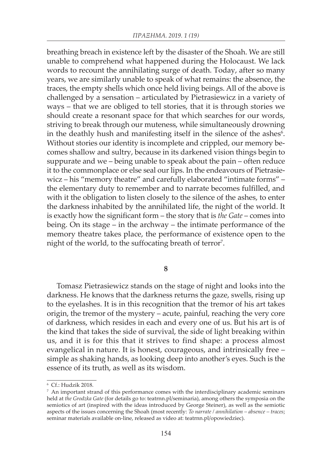breathing breach in existence left by the disaster of the Shoah. We are still unable to comprehend what happened during the Holocaust. We lack words to recount the annihilating surge of death. Today, after so many years, we are similarly unable to speak of what remains: the absence, the traces, the empty shells which once held living beings. All of the above is challenged by a sensation – articulated by Pietrasiewicz in a variety of ways – that we are obliged to tell stories, that it is through stories we should create a resonant space for that which searches for our words, striving to break through our muteness, while simultaneously drowning in the deathly hush and manifesting itself in the silence of the ashes<sup>6</sup>. Without stories our identity is incomplete and crippled, our memory becomes shallow and sultry, because in its darkened vision things begin to suppurate and we – being unable to speak about the pain – often reduce it to the commonplace or else seal our lips. In the endeavours of Pietrasiewicz – his "memory theatre" and carefully elaborated "intimate forms" – the elementary duty to remember and to narrate becomes fulfilled, and with it the obligation to listen closely to the silence of the ashes, to enter the darkness inhabited by the annihilated life, the night of the world. It is exactly how the significant form – the story that is *the Gate* – comes into being. On its stage – in the archway – the intimate performance of the memory theatre takes place, the performance of existence open to the night of the world, to the suffocating breath of terror $^7\!$ .

**8**

Tomasz Pietrasiewicz stands on the stage of night and looks into the darkness. He knows that the darkness returns the gaze, swells, rising up to the eyelashes. It is in this recognition that the tremor of his art takes origin, the tremor of the mystery – acute, painful, reaching the very core of darkness, which resides in each and every one of us. But his art is of the kind that takes the side of survival, the side of light breaking within us, and it is for this that it strives to find shape: a process almost evangelical in nature. It is honest, courageous, and intrinsically free – simple as shaking hands, as looking deep into another's eyes. Such is the essence of its truth, as well as its wisdom.

<sup>6</sup> Cf.: Hudzik 2018.

 $7$  An important strand of this performance comes with the interdisciplinary academic seminars held at *the Grodzka Gate* (for details go to: teatrnn.pl/seminaria), among others the symposia on the semiotics of art (inspired with the ideas introduced by George Steiner), as well as the semiotic aspects of the issues concerning the Shoah (most recently: *To narrate / annihilation – absence – traces*; seminar materials available on-line, released as video at: teatrnn.pl/opowiedziec).